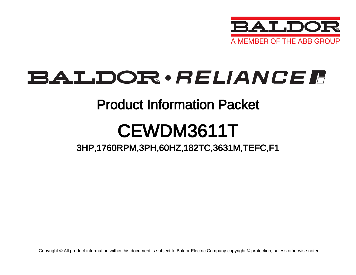

## BALDOR · RELIANCE F

### Product Information Packet

# CEWDM3611T

### 3HP,1760RPM,3PH,60HZ,182TC,3631M,TEFC,F1

Copyright © All product information within this document is subject to Baldor Electric Company copyright © protection, unless otherwise noted.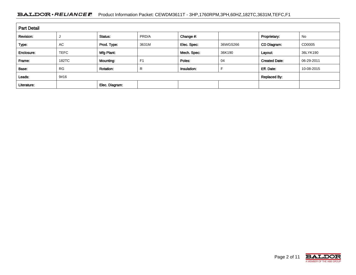#### BALDOR · RELIANCE F Product Information Packet: CEWDM3611T - 3HP,1760RPM,3PH,60HZ,182TC,3631M,TEFC,F1

| <b>Part Detail</b> |             |                  |                |             |          |                      |            |  |  |  |
|--------------------|-------------|------------------|----------------|-------------|----------|----------------------|------------|--|--|--|
| Revision:          |             | Status:          | PRD/A          | Change #:   |          | Proprietary:         | No         |  |  |  |
| Type:              | <b>AC</b>   | Prod. Type:      | 3631M          | Elec. Spec: | 36WGS266 | CD Diagram:          | CD0005     |  |  |  |
| Enclosure:         | <b>TEFC</b> | Mfg Plant:       |                | Mech. Spec: | 36K190   | Layout:              | 36LYK190   |  |  |  |
| Frame:             | 182TC       | Mounting:        | F <sub>1</sub> | Poles:      | 04       | <b>Created Date:</b> | 06-29-2011 |  |  |  |
| Base:              | <b>RG</b>   | <b>Rotation:</b> | R              | Insulation: |          | Eff. Date:           | 10-08-2015 |  |  |  |
| Leads:             | 9#16        |                  |                |             |          | <b>Replaced By:</b>  |            |  |  |  |
| Literature:        |             | Elec. Diagram:   |                |             |          |                      |            |  |  |  |

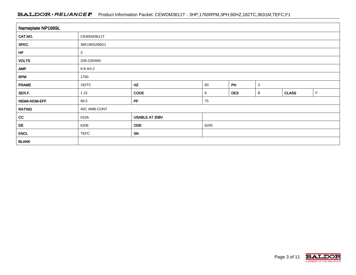#### BALDOR · RELIANCE F Product Information Packet: CEWDM3611T - 3HP,1760RPM,3PH,60HZ,182TC,3631M,TEFC,F1

| Nameplate NP1669L |                 |                |      |            |              |              |   |  |  |  |  |
|-------------------|-----------------|----------------|------|------------|--------------|--------------|---|--|--|--|--|
| CAT.NO.           | CEWDM3611T      |                |      |            |              |              |   |  |  |  |  |
| SPEC.             | 36K190S266G1    |                |      |            |              |              |   |  |  |  |  |
| HP                | 3               |                |      |            |              |              |   |  |  |  |  |
| <b>VOLTS</b>      | 208-230/460     |                |      |            |              |              |   |  |  |  |  |
| <b>AMP</b>        | $9 - 8.4 / 4.2$ |                |      |            |              |              |   |  |  |  |  |
| <b>RPM</b>        | 1760            |                |      |            |              |              |   |  |  |  |  |
| <b>FRAME</b>      | 182TC           | HZ             | 60   | PH         | $\mathbf{3}$ |              |   |  |  |  |  |
| SER.F.            | 1.15            | <b>CODE</b>    | Κ    | <b>DES</b> | В            | <b>CLASS</b> | F |  |  |  |  |
| NEMA-NOM-EFF      | 89.5            | PF             | 75   |            |              |              |   |  |  |  |  |
| <b>RATING</b>     | 40C AMB-CONT    |                |      |            |              |              |   |  |  |  |  |
| cc                | 010A            | USABLE AT 208V |      |            |              |              |   |  |  |  |  |
| DE                | 6206            | <b>ODE</b>     | 6205 |            |              |              |   |  |  |  |  |
| <b>ENCL</b>       | <b>TEFC</b>     | SN             |      |            |              |              |   |  |  |  |  |
| <b>BLANK</b>      |                 |                |      |            |              |              |   |  |  |  |  |

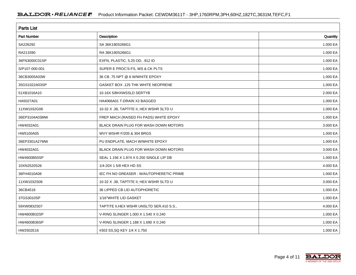| <b>Parts List</b>  |                                            |          |  |  |  |  |  |
|--------------------|--------------------------------------------|----------|--|--|--|--|--|
| <b>Part Number</b> | Description                                | Quantity |  |  |  |  |  |
| SA226292           | SA 36K190S266G1                            | 1.000 EA |  |  |  |  |  |
| RA213390           | RA 36K190S266G1                            | 1.000 EA |  |  |  |  |  |
| 36FN3000C01SP      | EXFN, PLASTIC, 5.25 OD, .912 ID            | 1.000 EA |  |  |  |  |  |
| S/P107-000-001     | SUPER E PROC'S-FS, WS & CK PLTS            | 1.000 EA |  |  |  |  |  |
| 36CB3005A03W       | 36 CB .75 NPT @ 6 W/WHITE EPOXY            | 1.000 EA |  |  |  |  |  |
| 35GS1022A03SP      | GASKET BOX .125 THK WHITE NEOPRENE         | 1.000 EA |  |  |  |  |  |
| 51XB1016A10        | 10-16X 5/8HXWSSLD SERTYB                   | 2.000 EA |  |  |  |  |  |
| HA5027A01          | HA4066A01 T-DRAIN X2 BAGGED                | 1.000 EA |  |  |  |  |  |
| 11XW1032G06        | 10-32 X .38, TAPTITE II, HEX WSHR SLTD U   | 1.000 EA |  |  |  |  |  |
| 36EP3104A03MW      | FREP MACH (RAISED FH PADS) WHITE EPOXY     | 1.000 EA |  |  |  |  |  |
| HW4032A01          | BLACK DRAIN PLUG FOR WASH DOWN MOTORS      | 3.000 EA |  |  |  |  |  |
| HW5100A05          | WVY WSHR F/205 & 304 BRGS                  | 1.000 EA |  |  |  |  |  |
| 36EP3301A27MW      | PU ENDPLATE, MACH W/WHITE EPOXY            | 1.000 EA |  |  |  |  |  |
| HW4032A01          | BLACK DRAIN PLUG FOR WASH DOWN MOTORS      | 3.000 EA |  |  |  |  |  |
| <b>HW4600B50SP</b> | SEAL 1.156 X 1.874 X 0.250 SINGLE LIP DB   | 1.000 EA |  |  |  |  |  |
| 10XN2520S26        | 1/4-20X 1 5/8 HEX HD SS                    | 4.000 EA |  |  |  |  |  |
| 36FH4010A08        | IEC FH NO GREASER - W/AUTOPHERETIC PRIME   | 1.000 EA |  |  |  |  |  |
| 11XW1032S06        | 10-32 X .38, TAPTITE II, HEX WSHR SLTD U   | 3.000 EA |  |  |  |  |  |
| 36CB4518           | 36 LIPPED CB LID AUTOPHORETIC              | 1.000 EA |  |  |  |  |  |
| 37GS3010SP         | 1/16"WHITE LID GASKET                      | 1.000 EA |  |  |  |  |  |
| 59XW0832S07        | TAPTITE II, HEX WSHR UNSLTD SER, 410 S.S., | 4.000 EA |  |  |  |  |  |
| HW4600B32SP        | V-RING SLINGER 1,000 X 1,540 X 0,240       | 1.000 EA |  |  |  |  |  |
| HW4600B36SP        | V-RING SLINGER 1.188 X 1.690 X 0.240       | 1.000 EA |  |  |  |  |  |
| HW2502E16          | #303 SS, SQ KEY 1/4 X 1.750                | 1.000 EA |  |  |  |  |  |

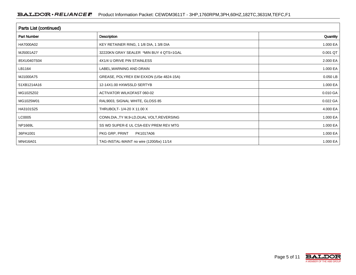| Parts List (continued) |                                             |              |  |  |  |  |  |
|------------------------|---------------------------------------------|--------------|--|--|--|--|--|
| Part Number            | <b>Description</b>                          | Quantity     |  |  |  |  |  |
| HA7000A02              | KEY RETAINER RING, 1 1/8 DIA, 1 3/8 DIA     | 1.000 EA     |  |  |  |  |  |
| MJ5001A27              | 32220KN GRAY SEALER *MIN BUY 4 QTS=1GAL     | 0.001 QT     |  |  |  |  |  |
| 85XU0407S04            | 4X1/4 U DRIVE PIN STAINLESS                 | 2.000 EA     |  |  |  |  |  |
| LB1164                 | LABEL, WARNING AND DRAIN                    | 1.000 EA     |  |  |  |  |  |
| MJ1000A75              | GREASE, POLYREX EM EXXON (USe 4824-15A)     | 0.050 LB     |  |  |  |  |  |
| 51XB1214A16            | 12-14X1.00 HXWSSLD SERTYB                   | 1.000 EA     |  |  |  |  |  |
| MG1025Z02              | ACTIVATOR WILKOFAST 060-02                  | 0.010 GA     |  |  |  |  |  |
| MG1025W01              | RAL9003, SIGNAL WHITE, GLOSS 85             | 0.022 GA     |  |  |  |  |  |
| HA3101S25              | THRUBOLT- 1/4-20 X 11.00 X                  | 4.000 EA     |  |  |  |  |  |
| LC0005                 | CONN.DIA., TY M, 9-LD, DUAL VOLT, REVERSING | 1.000 EA     |  |  |  |  |  |
| NP1669L                | SS WD SUPER-E UL CSA-EEV PREM REV MTG       | 1.000 EA     |  |  |  |  |  |
| 36PA1001               | PKG GRP, PRINT<br>PK1017A06                 | 1.000 EA     |  |  |  |  |  |
| MN416A01               | TAG-INSTAL-MAINT no wire (1200/bx) 11/14    | 1.000 EA $ $ |  |  |  |  |  |

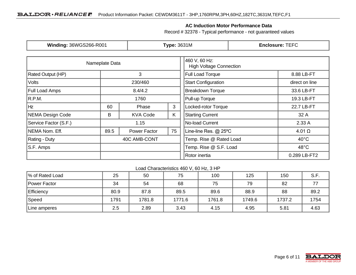#### **AC Induction Motor Performance Data**

Record # 32378 - Typical performance - not guaranteed values

| Winding: 36WGS266-R001   |                           | <b>Type: 3631M</b> |                                                 | <b>Enclosure: TEFC</b>     |                                          |  |
|--------------------------|---------------------------|--------------------|-------------------------------------------------|----------------------------|------------------------------------------|--|
|                          | Nameplate Data            |                    | 460 V, 60 Hz:<br><b>High Voltage Connection</b> |                            |                                          |  |
| <b>Rated Output (HP)</b> |                           | 3                  |                                                 | <b>Full Load Torque</b>    | 8.88 LB-FT                               |  |
| Volts                    |                           | 230/460            |                                                 | <b>Start Configuration</b> | direct on line                           |  |
| <b>Full Load Amps</b>    |                           | 8.4/4.2            |                                                 | <b>Breakdown Torque</b>    | 33.6 LB-FT                               |  |
| R.P.M.                   |                           | 1760               |                                                 | Pull-up Torque             | 19.3 LB-FT                               |  |
| Hz                       | 3<br>60<br>Phase          |                    | Locked-rotor Torque                             | 22.7 LB-FT                 |                                          |  |
| NEMA Design Code         | K<br>B<br><b>KVA Code</b> |                    | <b>Starting Current</b>                         | 32 A                       |                                          |  |
| Service Factor (S.F.)    | 1.15                      |                    | No-load Current                                 | 2.33A                      |                                          |  |
| NEMA Nom. Eff.           | 89.5                      | Power Factor       | 75                                              | Line-line Res. @ 25°C      | $4.01 \Omega$                            |  |
| Rating - Duty            | 40C AMB-CONT              |                    | Temp. Rise @ Rated Load                         | $40^{\circ}$ C             |                                          |  |
| S.F. Amps                |                           |                    |                                                 |                            | Temp. Rise @ S.F. Load<br>$48^{\circ}$ C |  |
|                          |                           |                    | Rotor inertia                                   | 0.289 LB-FT2               |                                          |  |

Load Characteristics 460 V, 60 Hz, 3 HP

| % of Rated Load   | 25   | 50     | 75     | 100    | 125    | 150    | S.F. |
|-------------------|------|--------|--------|--------|--------|--------|------|
| Power Factor      | 34   | 54     | 68     | 75     | 79     | 82     |      |
| <b>Efficiency</b> | 80.9 | 87.8   | 89.5   | 89.6   | 88.9   | 88     | 89.2 |
| Speed             | 1791 | 1781.8 | 1771.6 | 1761.8 | 1749.6 | 1737.2 | 1754 |
| Line amperes      | 2.5  | 2.89   | 3.43   | 4.15   | 4.95   | 5.81   | 4.63 |

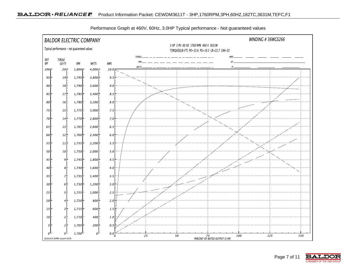

Performance Graph at 460V, 60Hz, 3.0HP Typical performance - Not guaranteed values

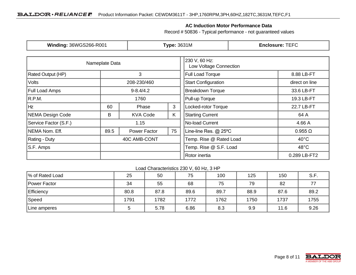#### **AC Induction Motor Performance Data**

Record # 50836 - Typical performance - not guaranteed values

| Winding: 36WGS266-R001 |                  | <b>Type: 3631M</b> |                                         | <b>Enclosure: TEFC</b>     |                |  |
|------------------------|------------------|--------------------|-----------------------------------------|----------------------------|----------------|--|
|                        | Nameplate Data   |                    | 230 V, 60 Hz:<br>Low Voltage Connection |                            |                |  |
| Rated Output (HP)      |                  | 3                  |                                         | <b>Full Load Torque</b>    | 8.88 LB-FT     |  |
| <b>Volts</b>           |                  | 208-230/460        |                                         | <b>Start Configuration</b> | direct on line |  |
| <b>Full Load Amps</b>  |                  | $9 - 8.4/4.2$      |                                         | <b>Breakdown Torque</b>    | 33.6 LB-FT     |  |
| R.P.M.                 |                  | 1760               |                                         | Pull-up Torque             | 19.3 LB-FT     |  |
| Hz                     | 3<br>60<br>Phase |                    | Locked-rotor Torque                     | 22.7 LB-FT                 |                |  |
| NEMA Design Code       | B                | <b>KVA Code</b>    | K.                                      | <b>Starting Current</b>    | 64 A           |  |
| Service Factor (S.F.)  | 1.15             |                    | No-load Current                         | 4.66 A                     |                |  |
| NEMA Nom. Eff.         | 89.5             | Power Factor       | 75                                      | Line-line Res. @ 25°C      | $0.955 \Omega$ |  |
| Rating - Duty          | 40C AMB-CONT     |                    | Temp. Rise @ Rated Load                 | $40^{\circ}$ C             |                |  |
| S.F. Amps              |                  |                    |                                         | Temp. Rise @ S.F. Load     | $48^{\circ}$ C |  |
|                        |                  |                    |                                         | Rotor inertia              | 0.289 LB-FT2   |  |

#### Load Characteristics 230 V, 60 Hz, 3 HP

| % of Rated Load   | 25   | 50   | 75   | 100  | 125  | 150  | S.F. |
|-------------------|------|------|------|------|------|------|------|
| Power Factor      | 34   | 55   | 68   | 75   | 79   | 82   |      |
| <b>Efficiency</b> | 80.8 | 87.8 | 89.6 | 89.7 | 88.9 | 87.6 | 89.2 |
| Speed             | 1791 | 1782 | 1772 | 1762 | 1750 | 1737 | 1755 |
| Line amperes      |      | 5.78 | 6.86 | 8.3  | 9.9  | 11.6 | 9.26 |

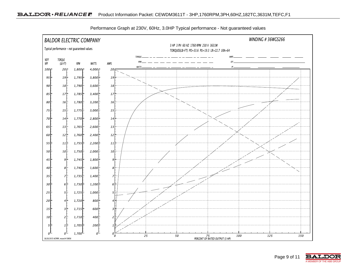

Performance Graph at 230V, 60Hz, 3.0HP Typical performance - Not guaranteed values

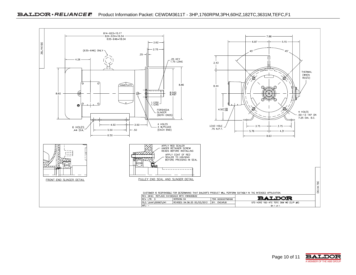